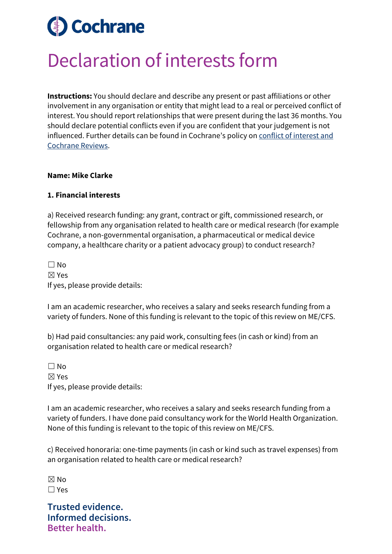# **Cochrane**

## Declaration of interests form

**Instructions:** You should declare and describe any present or past affiliations or other involvement in any organisation or entity that might lead to a real or perceived conflict of interest. You should report relationships that were present during the last 36 months. You should declare potential conflicts even if you are confident that your judgement is not influenced. Further details can be found in Cochrane's policy on [conflict of interest and](https://documentation.cochrane.org/display/EPPR/Policy%3A+conflicts+of+interest+and+Cochrane+Reviews)  [Cochrane Reviews.](https://documentation.cochrane.org/display/EPPR/Policy%3A+conflicts+of+interest+and+Cochrane+Reviews)

#### **Name: Mike Clarke**

#### **1. Financial interests**

a) Received research funding: any grant, contract or gift, commissioned research, or fellowship from any organisation related to health care or medical research (for example Cochrane, a non-governmental organisation, a pharmaceutical or medical device company, a healthcare charity or a patient advocacy group) to conduct research?

 $\Box$  No ☒ Yes If yes, please provide details:

I am an academic researcher, who receives a salary and seeks research funding from a variety of funders. None of this funding is relevant to the topic of this review on ME/CFS.

b) Had paid consultancies: any paid work, consulting fees (in cash or kind) from an organisation related to health care or medical research?

 $\Box$  No ☒ Yes If yes, please provide details:

I am an academic researcher, who receives a salary and seeks research funding from a variety of funders. I have done paid consultancy work for the World Health Organization. None of this funding is relevant to the topic of this review on ME/CFS.

c) Received honoraria: one-time payments (in cash or kind such as travel expenses) from an organisation related to health care or medical research?

 $\boxtimes$  No ☐ Yes

**Trusted evidence. Informed decisions. Better health.**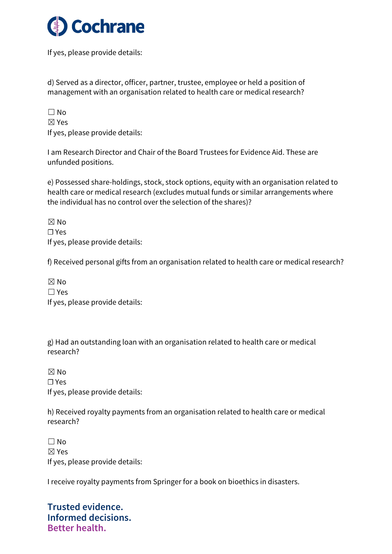

If yes, please provide details:

d) Served as a director, officer, partner, trustee, employee or held a position of management with an organisation related to health care or medical research?

| $\Box$ No                       |
|---------------------------------|
| $\boxtimes$ Yes                 |
| If yes, please provide details: |

I am Research Director and Chair of the Board Trustees for Evidence Aid. These are unfunded positions.

e) Possessed share-holdings, stock, stock options, equity with an organisation related to health care or medical research (excludes mutual funds or similar arrangements where the individual has no control over the selection of the shares)?

 $\boxtimes$  No ☐ Yes If yes, please provide details:

f) Received personal gifts from an organisation related to health care or medical research?

| $\boxtimes$ No                  |
|---------------------------------|
| $\Box$ Yes                      |
| If yes, please provide details: |

g) Had an outstanding loan with an organisation related to health care or medical research?

☒ No ☐ Yes If yes, please provide details:

h) Received royalty payments from an organisation related to health care or medical research?

 $\Box$  No ☒ Yes If yes, please provide details:

I receive royalty payments from Springer for a book on bioethics in disasters.

**Trusted evidence. Informed decisions. Better health.**